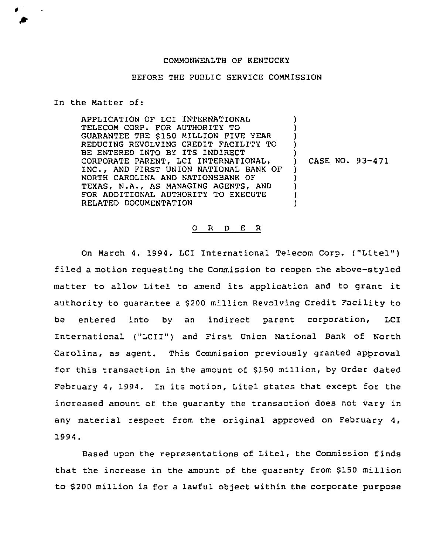## COMMONWEALTH QF KENTUCKY

## BEFORE THE PUBLIC SERVICE COMMISSION

## In the Matter of:

APPLICATION OF LCI INTERNATIONAL TELECOM CORP. FOR AUTHORITY TO GUARANTEE THE 5150 MILLION FIVE YEAR REDUCING REVOLVING CREDIT FACILITY TO BE ENTERED INTO BY ITS INDIRECT CORPORATE PARENT, LCI INTERNATIONAL, INC., AND FIRST UNION NATIONAL BANK OF NORTH CAROLINA AND NATIONSBANK OF TEXAS, N.A., AS MANAGING AGENTS, AND FOR ADDITIONAL AUTHORITY TO EXECUTE RELATED DOCUMENTATION

CASE NO. 93-471

) ) ) ) )

> ) ) ) ) )

## 0 <sup>R</sup> <sup>D</sup> E <sup>R</sup>

On March 4, 1994, LCI International Telecom Corp. ("Litel") filed a motion reouesting the Commission to reopen the above-styled matter to allow Litel to amend its application and to grant it authority to quarantee a \$200 million Revolving Credit Facility to be entered into by an indirect parent corporation, LCI International ("LCII") and First Union National Bank of North Carolina, as agent. This Commission previously granted approval for this transaction in the amount of 5150 million, by Order dated February 4, 1994. In its motion, Litel states that except for the increased amount of the guaranty the transaction does not vary in any material respect from the original approved on February 4, 1994.

Based upon the representations of Litel, the Commission finds that the increase in the amount of the guaranty from \$150 million to \$ 200 million is for a lawful object within the corporate purpose